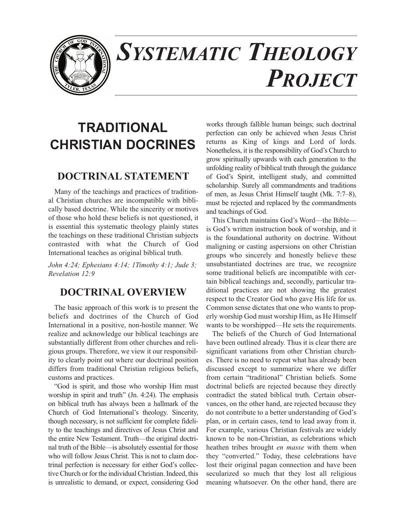

# *SYSTEMATIC THEOLOGY PROJECT*

# **TRADITIONAL CHRISTIAN DOCRINES**

# **DOCTRINAL STATEMENT**

Many of the teachings and practices of traditional Christian churches are incompatible with biblically based doctrine. While the sincerity or motives of those who hold these beliefs is not questioned, it is essential this systematic theology plainly states the teachings on these traditional Christian subjects contrasted with what the Church of God International teaches as original biblical truth.

*John 4:24; Ephesians 4:14; 1Timothy 4:1; Jude 3; Revelation 12:9*

## **DOCTRINAL OVERVIEW**

The basic approach of this work is to present the beliefs and doctrines of the Church of God International in a positive, non-hostile manner. We realize and acknowledge our biblical teachings are substantially different from other churches and religious groups. Therefore, we view it our responsibility to clearly point out where our doctrinal position differs from traditional Christian religious beliefs, customs and practices.

"God is spirit, and those who worship Him must worship in spirit and truth" (Jn. 4:24). The emphasis on biblical truth has always been a hallmark of the Church of God International's theology. Sincerity, though necessary, is not sufficient for complete fidelity to the teachings and directives of Jesus Christ and the entire New Testament. Truth—the original doctrinal truth of the Bible—is absolutely essential for those who will follow Jesus Christ. This is not to claim doctrinal perfection is necessary for either God's collective Church or for the individual Christian. Indeed, this is unrealistic to demand, or expect, considering God

works through fallible human beings; such doctrinal perfection can only be achieved when Jesus Christ returns as King of kings and Lord of lords. Nonetheless, it is the responsibility of God's Church to grow spiritually upwards with each generation to the unfolding reality of biblical truth through the guidance of God's Spirit, intelligent study, and committed scholarship. Surely all commandments and traditions of men, as Jesus Christ Himself taught (Mk. 7:7–8), must be rejected and replaced by the commandments and teachings of God.

This Church maintains God's Word—the Bible is God's written instruction book of worship, and it is the foundational authority on doctrine. Without maligning or casting aspersions on other Christian groups who sincerely and honestly believe these unsubstantiated doctrines are true, we recognize some traditional beliefs are incompatible with certain biblical teachings and, secondly, particular traditional practices are not showing the greatest respect to the Creator God who gave His life for us. Common sense dictates that one who wants to properly worship God must worship Him, as He Himself wants to be worshipped—He sets the requirements.

The beliefs of the Church of God International have been outlined already. Thus it is clear there are significant variations from other Christian churches. There is no need to repeat what has already been discussed except to summarize where we differ from certain "traditional" Christian beliefs. Some doctrinal beliefs are rejected because they directly contradict the stated biblical truth. Certain observances, on the other hand, are rejected because they do not contribute to a better understanding of God's plan, or in certain cases, tend to lead away from it. For example, various Christian festivals are widely known to be non-Christian, as celebrations which heathen tribes brought *en masse* with them when they "converted." Today, these celebrations have lost their original pagan connection and have been secularized so much that they lost all religious meaning whatsoever. On the other hand, there are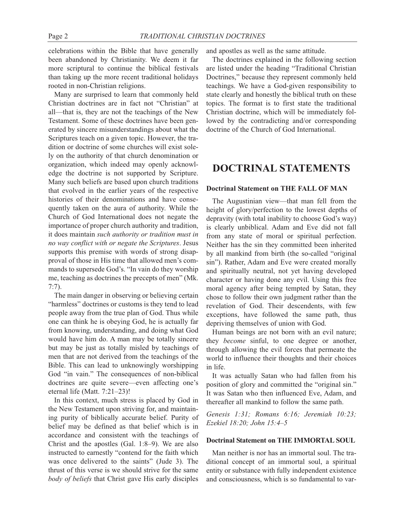celebrations within the Bible that have generally been abandoned by Christianity. We deem it far more scriptural to continue the biblical festivals than taking up the more recent traditional holidays rooted in non-Christian religions.

Many are surprised to learn that commonly held Christian doctrines are in fact not "Christian" at all—that is, they are not the teachings of the New Testament. Some of these doctrines have been generated by sincere misunderstandings about what the Scriptures teach on a given topic. However, the tradition or doctrine of some churches will exist solely on the authority of that church denomination or organization, which indeed may openly acknowledge the doctrine is not supported by Scripture. Many such beliefs are based upon church traditions that evolved in the earlier years of the respective histories of their denominations and have consequently taken on the aura of authority. While the Church of God International does not negate the importance of proper church authority and tradition, it does maintain *such authority or tradition must in no way conflict with or negate the Scriptures*. Jesus supports this premise with words of strong disapproval of those in His time that allowed men's commands to supersede God's. "In vain do they worship me, teaching as doctrines the precepts of men" (Mk. 7:7).

The main danger in observing or believing certain "harmless" doctrines or customs is they tend to lead people away from the true plan of God. Thus while one can think he is obeying God, he is actually far from knowing, understanding, and doing what God would have him do. A man may be totally sincere but may be just as totally misled by teachings of men that are not derived from the teachings of the Bible. This can lead to unknowingly worshipping God "in vain." The consequences of non-biblical doctrines are quite severe—even affecting one's eternal life (Matt. 7:21–23)!

In this context, much stress is placed by God in the New Testament upon striving for, and maintaining purity of biblically accurate belief. Purity of belief may be defined as that belief which is in accordance and consistent with the teachings of Christ and the apostles (Gal. 1:8–9). We are also instructed to earnestly "contend for the faith which was once delivered to the saints" (Jude 3). The thrust of this verse is we should strive for the same *body of beliefs* that Christ gave His early disciples

and apostles as well as the same attitude.

The doctrines explained in the following section are listed under the heading "Traditional Christian Doctrines," because they represent commonly held teachings. We have a God-given responsibility to state clearly and honestly the biblical truth on these topics. The format is to first state the traditional Christian doctrine, which will be immediately followed by the contradicting and/or corresponding doctrine of the Church of God International.

### **DOCTRINAL STATEMENTS**

#### **Doctrinal Statement on THE FALL OF MAN**

The Augustinian view—that man fell from the height of glory/perfection to the lowest depths of depravity (with total inability to choose God's way) is clearly unbiblical. Adam and Eve did not fall from any state of moral or spiritual perfection. Neither has the sin they committed been inherited by all mankind from birth (the so-called "original sin"). Rather, Adam and Eve were created morally and spiritually neutral, not yet having developed character or having done any evil. Using this free moral agency after being tempted by Satan, they chose to follow their own judgment rather than the revelation of God. Their descendents, with few exceptions, have followed the same path, thus depriving themselves of union with God.

Human beings are not born with an evil nature; they *become* sinful, to one degree or another, through allowing the evil forces that permeate the world to influence their thoughts and their choices in life.

It was actually Satan who had fallen from his position of glory and committed the "original sin." It was Satan who then influenced Eve, Adam, and thereafter all mankind to follow the same path.

*Genesis 1:31; Romans 6:16; Jeremiah 10:23; Ezekiel 18:20; John 15:4–5*

#### **Doctrinal Statement on THE IMMORTAL SOUL**

Man neither is nor has an immortal soul. The traditional concept of an immortal soul, a spiritual entity or substance with fully independent existence and consciousness, which is so fundamental to var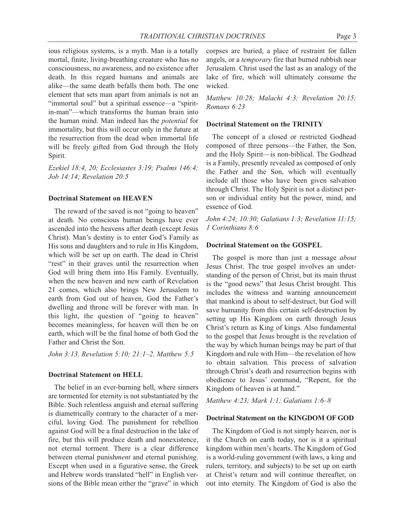ious religious systems, is a myth. Man is a totally mortal, finite, living-breathing creature who has no consciousness, no awareness, and no existence after death. In this regard humans and animals are alike—the same death befalls them both. The one element that sets man apart from animals is not an "immortal soul" but a spiritual essence—a "spiritin-man"—which transforms the human brain into the human mind. Man indeed has the *potential* for immortality, but this will occur only in the future at the resurrection from the dead when immortal life will be freely gifted from God through the Holy Spirit.

*Ezekiel 18:4, 20; Ecclesiastes 3:19; Psalms 146:4; Job 14:14; Revelation 20:5*

#### **Doctrinal Statement on HEAVEN**

The reward of the saved is not "going to heaven" at death. No conscious human beings have ever ascended into the heavens after death (except Jesus Christ). Man's destiny is to enter God's Family as His sons and daughters and to rule in His Kingdom, which will be set up on earth. The dead in Christ "rest" in their graves until the resurrection when God will bring them into His Family. Eventually, when the new heaven and new earth of Revelation 21 comes, which also brings New Jerusalem to earth from God out of heaven, God the Father's dwelling and throne will be forever with man. In this light, the question of "going to heaven" becomes meaningless, for heaven will then be on earth, which will be the final home of both God the Father and Christ the Son.

*John 3:13, Revelation 5:10; 21:1–2, Matthew 5:5*

#### **Doctrinal Statement on HELL**

The belief in an ever-burning hell, where sinners are tormented for eternity is not substantiated by the Bible. Such relentless anguish and eternal suffering is diametrically contrary to the character of a merciful, loving God. The punishment for rebellion against God will be a final destruction in the lake of fire, but this will produce death and nonexistence, not eternal torment. There is a clear difference between eternal punish*ment* and eternal punish*ing*. Except when used in a figurative sense, the Greek and Hebrew words translated "hell" in English versions of the Bible mean either the "grave" in which

corpses are buried, a place of restraint for fallen angels, or a *temporary* fire that burned rubbish near Jerusalem. Christ used the last as an analogy of the lake of fire, which will ultimately consume the wicked.

*Matthew 10:28; Malachi 4:3; Revelation 20:15; Romans 6:23*

#### **Doctrinal Statement on the TRINITY**

The concept of a closed or restricted Godhead composed of three persons—the Father, the Son, and the Holy Spirit—is non-biblical. The Godhead is a Family, presently revealed as composed of only the Father and the Son, which will eventually include all those who have been given salvation through Christ. The Holy Spirit is not a distinct person or individual entity but the power, mind, and essence of God.

*John 4:24; 10:30; Galatians 1:3; Revelation 11:15; 1 Corinthians 8:6*

#### **Doctrinal Statement on the GOSPEL**

The gospel is more than just a message *about* Jesus Christ. The true gospel involves an understanding of the person of Christ, but its main thrust is the "good news" that Jesus Christ brought. This includes the witness and warning announcement that mankind is about to self-destruct, but God will save humanity from this certain self-destruction by setting up His Kingdom on earth through Jesus Christ's return as King of kings. Also fundamental to the gospel that Jesus brought is the revelation of the way by which human beings may be part of that Kingdom and rule with Him—the revelation of how to obtain salvation. This process of salvation through Christ's death and resurrection begins with obedience to Jesus' command, "Repent, for the Kingdom of heaven is at hand."

*Matthew 4:23; Mark 1:1; Galatians 1:6–8*

#### **Doctrinal Statement on the KINGDOM OF GOD**

The Kingdom of God is not simply heaven, nor is it the Church on earth today, nor is it a spiritual kingdom within men's hearts. The Kingdom of God is a world-ruling government (with laws, a king and rulers, territory, and subjects) to be set up on earth at Christ's return and will continue thereafter, on out into eternity. The Kingdom of God is also the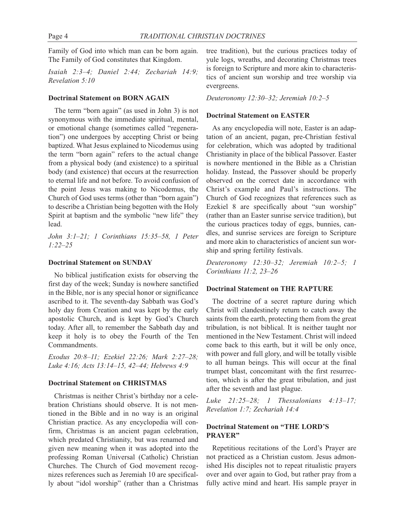Family of God into which man can be born again. The Family of God constitutes that Kingdom.

*Isaiah 2:3–4; Daniel 2:44; Zechariah 14:9; Revelation 5:10*

#### **Doctrinal Statement on BORN AGAIN**

The term "born again" (as used in John 3) is not synonymous with the immediate spiritual, mental, or emotional change (sometimes called "regeneration") one undergoes by accepting Christ or being baptized. What Jesus explained to Nicodemus using the term "born again" refers to the actual change from a physical body (and existence) to a spiritual body (and existence) that occurs at the resurrection to eternal life and not before. To avoid confusion of the point Jesus was making to Nicodemus, the Church of God uses terms (other than "born again") to describe a Christian being begotten with the Holy Spirit at baptism and the symbolic "new life" they lead.

*John 3:1–21; 1 Corinthians 15:35–58, 1 Peter 1:22–25*

#### **Doctrinal Statement on SUNDAY**

No biblical justification exists for observing the first day of the week; Sunday is nowhere sanctified in the Bible, nor is any special honor or significance ascribed to it. The seventh-day Sabbath was God's holy day from Creation and was kept by the early apostolic Church, and is kept by God's Church today. After all, to remember the Sabbath day and keep it holy is to obey the Fourth of the Ten Commandments.

*Exodus 20:8–11; Ezekiel 22:26; Mark 2:27–28; Luke 4:16; Acts 13:14–15, 42–44; Hebrews 4:9*

#### **Doctrinal Statement on CHRISTMAS**

Christmas is neither Christ's birthday nor a celebration Christians should observe. It is not mentioned in the Bible and in no way is an original Christian practice. As any encyclopedia will confirm, Christmas is an ancient pagan celebration, which predated Christianity, but was renamed and given new meaning when it was adopted into the professing Roman Universal (Catholic) Christian Churches. The Church of God movement recognizes references such as Jeremiah 10 are specifically about "idol worship" (rather than a Christmas tree tradition), but the curious practices today of yule logs, wreaths, and decorating Christmas trees is foreign to Scripture and more akin to characteristics of ancient sun worship and tree worship via evergreens.

#### *Deuteronomy 12:30–32; Jeremiah 10:2–5*

#### **Doctrinal Statement on EASTER**

As any encyclopedia will note, Easter is an adaptation of an ancient, pagan, pre-Christian festival for celebration, which was adopted by traditional Christianity in place of the biblical Passover. Easter is nowhere mentioned in the Bible as a Christian holiday. Instead, the Passover should be properly observed on the correct date in accordance with Christ's example and Paul's instructions. The Church of God recognizes that references such as Ezekiel 8 are specifically about "sun worship" (rather than an Easter sunrise service tradition), but the curious practices today of eggs, bunnies, candles, and sunrise services are foreign to Scripture and more akin to characteristics of ancient sun worship and spring fertility festivals.

*Deuteronomy 12:30–32; Jeremiah 10:2–5; 1 Corinthians 11:2, 23–26*

#### **Doctrinal Statement on THE RAPTURE**

The doctrine of a secret rapture during which Christ will clandestinely return to catch away the saints from the earth, protecting them from the great tribulation, is not biblical. It is neither taught nor mentioned in the New Testament. Christ will indeed come back to this earth, but it will be only once, with power and full glory, and will be totally visible to all human beings. This will occur at the final trumpet blast, concomitant with the first resurrection, which is after the great tribulation, and just after the seventh and last plague.

*Luke 21:25–28; 1 Thessalonians 4:13–17; Revelation 1:7; Zechariah 14:4*

#### **Doctrinal Statement on "THE LORD'S PRAYER"**

Repetitious recitations of the Lord's Prayer are not practiced as a Christian custom. Jesus admonished His disciples not to repeat ritualistic prayers over and over again to God, but rather pray from a fully active mind and heart. His sample prayer in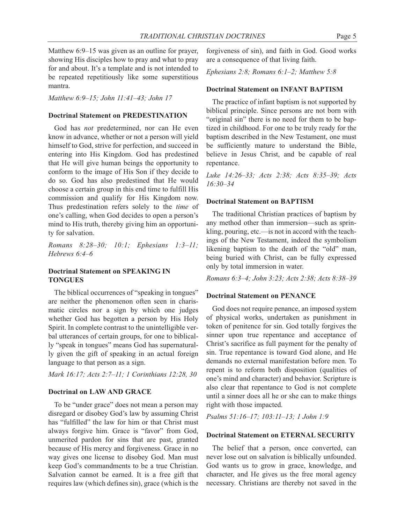Matthew 6:9–15 was given as an outline for prayer, showing His disciples how to pray and what to pray for and about. It's a template and is not intended to be repeated repetitiously like some superstitious mantra.

*Matthew 6:9–15; John 11:41–43; John 17*

#### **Doctrinal Statement on PREDESTINATION**

God has *not* predetermined, nor can He even know in advance, whether or not a person will yield himself to God, strive for perfection, and succeed in entering into His Kingdom. God has predestined that He will give human beings the opportunity to conform to the image of His Son if they decide to do so. God has also predestined that He would choose a certain group in this end time to fulfill His commission and qualify for His Kingdom now. Thus predestination refers solely to the *time* of one's calling, when God decides to open a person's mind to His truth, thereby giving him an opportunity for salvation.

*Romans 8:28–30; 10:1; Ephesians 1:3–11; Hebrews 6:4–6*

#### **Doctrinal Statement on SPEAKING IN TONGUES**

The biblical occurrences of "speaking in tongues" are neither the phenomenon often seen in charismatic circles nor a sign by which one judges whether God has begotten a person by His Holy Spirit. In complete contrast to the unintelligible verbal utterances of certain groups, for one to biblically "speak in tongues" means God has supernaturally given the gift of speaking in an actual foreign language to that person as a sign.

#### *Mark 16:17; Acts 2:7–11; 1 Corinthians 12:28, 30*

#### **Doctrinal on LAW AND GRACE**

To be "under grace" does not mean a person may disregard or disobey God's law by assuming Christ has "fulfilled" the law for him or that Christ must always forgive him. Grace is "favor" from God, unmerited pardon for sins that are past, granted because of His mercy and forgiveness. Grace in no way gives one license to disobey God. Man must keep God's commandments to be a true Christian. Salvation cannot be earned. It is a free gift that requires law (which defines sin), grace (which is the

forgiveness of sin), and faith in God. Good works are a consequence of that living faith.

*Ephesians 2:8; Romans 6:1–2; Matthew 5:8*

#### **Doctrinal Statement on INFANT BAPTISM**

The practice of infant baptism is not supported by biblical principle. Since persons are not born with "original sin" there is no need for them to be baptized in childhood. For one to be truly ready for the baptism described in the New Testament, one must be sufficiently mature to understand the Bible, believe in Jesus Christ, and be capable of real repentance.

*Luke 14:26–33; Acts 2:38; Acts 8:35–39; Acts 16:30–34*

#### **Doctrinal Statement on BAPTISM**

The traditional Christian practices of baptism by any method other than immersion—such as sprinkling, pouring, etc.—is not in accord with the teachings of the New Testament, indeed the symbolism likening baptism to the death of the "old" man, being buried with Christ, can be fully expressed only by total immersion in water.

*Romans 6:3–4; John 3:23; Acts 2:38; Acts 8:38–39*

#### **Doctrinal Statement on PENANCE**

God does not require penance, an imposed system of physical works, undertaken as punishment in token of penitence for sin. God totally forgives the sinner upon true repentance and acceptance of Christ's sacrifice as full payment for the penalty of sin. True repentance is toward God alone, and He demands no external manifestation before men. To repent is to reform both disposition (qualities of one's mind and character) and behavior. Scripture is also clear that repentance to God is not complete until a sinner does all he or she can to make things right with those impacted.

*Psalms 51:16–17; 103:11–13; 1 John 1:9*

#### **Doctrinal Statement on ETERNAL SECURITY**

The belief that a person, once converted, can never lose out on salvation is biblically unfounded. God wants us to grow in grace, knowledge, and character, and He gives us the free moral agency necessary. Christians are thereby not saved in the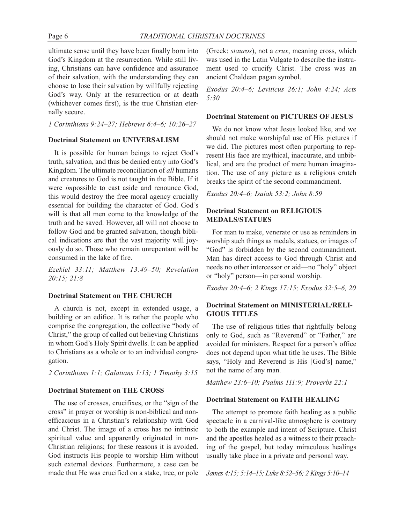ultimate sense until they have been finally born into God's Kingdom at the resurrection. While still living, Christians can have confidence and assurance of their salvation, with the understanding they can choose to lose their salvation by willfully rejecting God's way. Only at the resurrection or at death (whichever comes first), is the true Christian eternally secure.

*1 Corinthians 9:24–27; Hebrews 6:4–6; 10:26–27*

#### **Doctrinal Statement on UNIVERSALISM**

It is possible for human beings to reject God's truth, salvation, and thus be denied entry into God's Kingdom. The ultimate reconciliation of *all* humans and creatures to God is not taught in the Bible. If it were *im*possible to cast aside and renounce God, this would destroy the free moral agency crucially essential for building the character of God. God's will is that all men come to the knowledge of the truth and be saved. However, all will not choose to follow God and be granted salvation, though biblical indications are that the vast majority will joyously do so. Those who remain unrepentant will be consumed in the lake of fire.

*Ezekiel 33:11; Matthew 13:49–50; Revelation 20:15; 21:8*

#### **Doctrinal Statement on THE CHURCH**

A church is not, except in extended usage, a building or an edifice. It is rather the people who comprise the congregation, the collective "body of Christ," the group of called out believing Christians in whom God's Holy Spirit dwells. It can be applied to Christians as a whole or to an individual congregation.

*2 Corinthians 1:1; Galatians 1:13; 1 Timothy 3:15*

#### **Doctrinal Statement on THE CROSS**

The use of crosses, crucifixes, or the "sign of the cross" in prayer or worship is non-biblical and nonefficacious in a Christian's relationship with God and Christ. The image of a cross has no intrinsic spiritual value and apparently originated in non-Christian religions; for these reasons it is avoided. God instructs His people to worship Him without such external devices. Furthermore, a case can be made that He was crucified on a stake, tree, or pole (Greek: *stauros*), not a *crux*, meaning cross, which was used in the Latin Vulgate to describe the instrument used to crucify Christ. The cross was an ancient Chaldean pagan symbol.

*Exodus 20:4–6; Leviticus 26:1; John 4:24; Acts 5:30*

#### **Doctrinal Statement on PICTURES OF JESUS**

We do not know what Jesus looked like, and we should not make worshipful use of His pictures if we did. The pictures most often purporting to represent His face are mythical, inaccurate, and unbiblical, and are the product of mere human imagination. The use of any picture as a religious crutch breaks the spirit of the second commandment.

*Exodus 20:4–6; Isaiah 53:2; John 8:59*

#### **Doctrinal Statement on RELIGIOUS MEDALS/STATUES**

For man to make, venerate or use as reminders in worship such things as medals, statues, or images of "God" is forbidden by the second commandment. Man has direct access to God through Christ and needs no other intercessor or aid—no "holy" object or "holy" person—in personal worship.

*Exodus 20:4–6; 2 Kings 17:15; Exodus 32:5–6, 20*

#### **Doctrinal Statement on MINISTERIAL/RELI-GIOUS TITLES**

The use of religious titles that rightfully belong only to God, such as "Reverend" or "Father," are avoided for ministers. Respect for a person's office does not depend upon what title he uses. The Bible says, "Holy and Reverend is His [God's] name," not the name of any man.

*Matthew 23:6–10; Psalms 111:9; Proverbs 22:1*

#### **Doctrinal Statement on FAITH HEALING**

The attempt to promote faith healing as a public spectacle in a carnival-like atmosphere is contrary to both the example and intent of Scripture. Christ and the apostles healed as a witness to their preaching of the gospel, but today miraculous healings usually take place in a private and personal way.

*James 4:15; 5:14–15; Luke 8:52–56; 2 Kings 5:10–14*